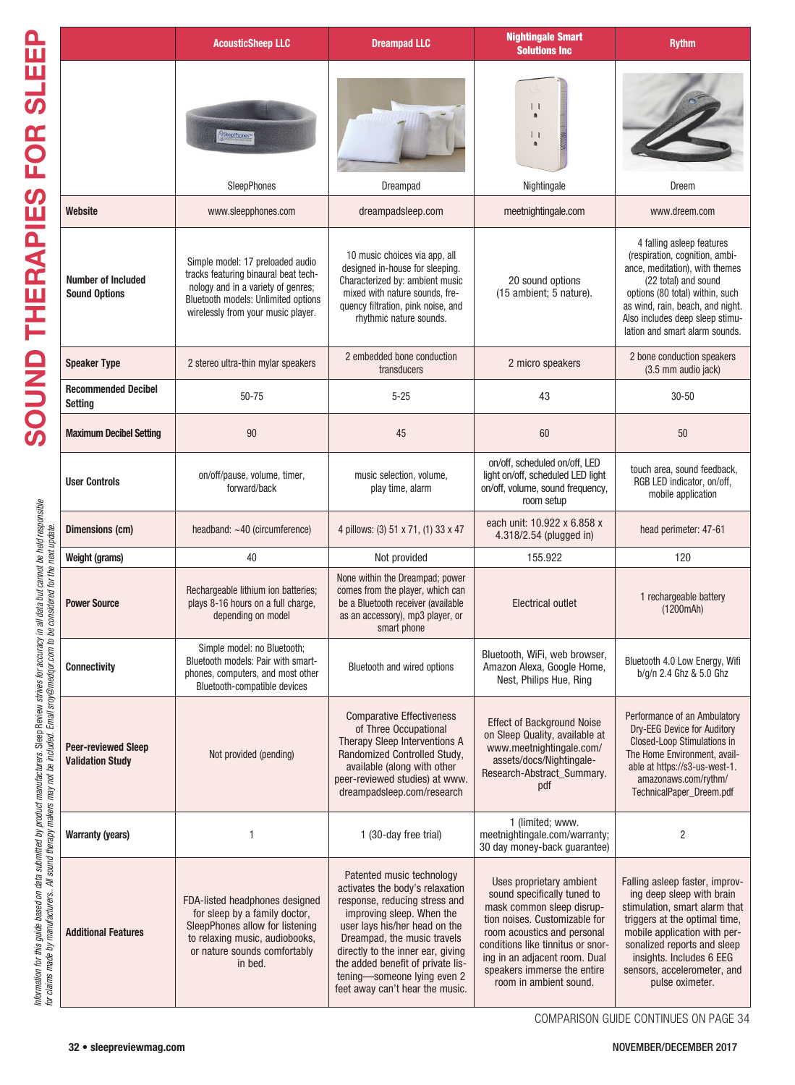|                                                                                                                                                                                                                                   |                                                       | <b>AcousticSheep LLC</b>                                                                                                                                                                    | <b>Dreampad LLC</b>                                                                                                                                                                                                                                                                                                                    | <b>Nightingale Smart</b><br><b>Solutions Inc</b>                                                                                                                                                                                                                                    | <b>Rythm</b>                                                                                                                                                                                                                                                               |
|-----------------------------------------------------------------------------------------------------------------------------------------------------------------------------------------------------------------------------------|-------------------------------------------------------|---------------------------------------------------------------------------------------------------------------------------------------------------------------------------------------------|----------------------------------------------------------------------------------------------------------------------------------------------------------------------------------------------------------------------------------------------------------------------------------------------------------------------------------------|-------------------------------------------------------------------------------------------------------------------------------------------------------------------------------------------------------------------------------------------------------------------------------------|----------------------------------------------------------------------------------------------------------------------------------------------------------------------------------------------------------------------------------------------------------------------------|
| ĭ                                                                                                                                                                                                                                 |                                                       | eepPhones*<br><b>SleepPhones</b>                                                                                                                                                            | Dreampad                                                                                                                                                                                                                                                                                                                               | $\perp$<br>$\perp$<br>Nightingale                                                                                                                                                                                                                                                   | Dreem                                                                                                                                                                                                                                                                      |
|                                                                                                                                                                                                                                   | Website                                               | www.sleepphones.com                                                                                                                                                                         | dreampadsleep.com                                                                                                                                                                                                                                                                                                                      | meetnightingale.com                                                                                                                                                                                                                                                                 | www.dreem.com                                                                                                                                                                                                                                                              |
| <b>ANDICE</b>                                                                                                                                                                                                                     | <b>Number of Included</b><br><b>Sound Options</b>     | Simple model: 17 preloaded audio<br>tracks featuring binaural beat tech-<br>nology and in a variety of genres;<br>Bluetooth models: Unlimited options<br>wirelessly from your music player. | 10 music choices via app, all<br>designed in-house for sleeping.<br>Characterized by: ambient music<br>mixed with nature sounds, fre-<br>quency filtration, pink noise, and<br>rhythmic nature sounds.                                                                                                                                 | 20 sound options<br>(15 ambient; 5 nature).                                                                                                                                                                                                                                         | 4 falling asleep features<br>(respiration, cognition, ambi-<br>ance, meditation), with themes<br>(22 total) and sound<br>options (80 total) within, such<br>as wind, rain, beach, and night.<br>Also includes deep sleep stimu-<br>lation and smart alarm sounds.          |
|                                                                                                                                                                                                                                   | <b>Speaker Type</b>                                   | 2 stereo ultra-thin mylar speakers                                                                                                                                                          | 2 embedded bone conduction<br>transducers                                                                                                                                                                                                                                                                                              | 2 micro speakers                                                                                                                                                                                                                                                                    | 2 bone conduction speakers<br>(3.5 mm audio jack)                                                                                                                                                                                                                          |
|                                                                                                                                                                                                                                   | <b>Recommended Decibel</b><br><b>Setting</b>          | 50-75                                                                                                                                                                                       | $5 - 25$                                                                                                                                                                                                                                                                                                                               | 43                                                                                                                                                                                                                                                                                  | $30 - 50$                                                                                                                                                                                                                                                                  |
|                                                                                                                                                                                                                                   | <b>Maximum Decibel Setting</b>                        | 90                                                                                                                                                                                          | 45                                                                                                                                                                                                                                                                                                                                     | 60                                                                                                                                                                                                                                                                                  | 50                                                                                                                                                                                                                                                                         |
| Information for this guide based on data submitted by product manufactures. Sleep Review of rives for accuracy in all data but cannot be held responsible<br>for claims made by manufacturers. All sound therapy makers may not b | <b>User Controls</b>                                  | on/off/pause, volume, timer,<br>forward/back                                                                                                                                                | music selection, volume,<br>play time, alarm                                                                                                                                                                                                                                                                                           | on/off, scheduled on/off, LED<br>light on/off, scheduled LED light<br>on/off, volume, sound frequency,<br>room setup                                                                                                                                                                | touch area, sound feedback,<br>RGB LED indicator, on/off,<br>mobile application                                                                                                                                                                                            |
|                                                                                                                                                                                                                                   | Dimensions (cm)                                       | headband: $~1$ 0 (circumference)                                                                                                                                                            | 4 pillows: (3) 51 x 71, (1) 33 x 47                                                                                                                                                                                                                                                                                                    | each unit: 10.922 x 6.858 x<br>4.318/2.54 (plugged in)                                                                                                                                                                                                                              | head perimeter: 47-61                                                                                                                                                                                                                                                      |
|                                                                                                                                                                                                                                   | Weight (grams)                                        | 40                                                                                                                                                                                          | Not provided                                                                                                                                                                                                                                                                                                                           | 155.922                                                                                                                                                                                                                                                                             | 120                                                                                                                                                                                                                                                                        |
|                                                                                                                                                                                                                                   | <b>Power Source</b>                                   | Rechargeable lithium ion batteries;<br>plays 8-16 hours on a full charge,<br>depending on model                                                                                             | None within the Dreampad; power<br>comes from the player, which can<br>be a Bluetooth receiver (available<br>as an accessory), mp3 player, or<br>smart phone                                                                                                                                                                           | <b>Electrical outlet</b>                                                                                                                                                                                                                                                            | 1 rechargeable battery<br>(1200mAh)                                                                                                                                                                                                                                        |
|                                                                                                                                                                                                                                   | <b>Connectivity</b>                                   | Simple model: no Bluetooth;<br>Bluetooth models: Pair with smart-<br>phones, computers, and most other<br>Bluetooth-compatible devices                                                      | Bluetooth and wired options                                                                                                                                                                                                                                                                                                            | Bluetooth, WiFi, web browser,<br>Amazon Alexa, Google Home,<br>Nest, Philips Hue, Ring                                                                                                                                                                                              | Bluetooth 4.0 Low Energy, Wifi<br>b/g/n 2.4 Ghz & 5.0 Ghz                                                                                                                                                                                                                  |
|                                                                                                                                                                                                                                   | <b>Peer-reviewed Sleep</b><br><b>Validation Study</b> | Not provided (pending)                                                                                                                                                                      | <b>Comparative Effectiveness</b><br>of Three Occupational<br>Therapy Sleep Interventions A<br>Randomized Controlled Study,<br>available (along with other<br>peer-reviewed studies) at www.<br>dreampadsleep.com/research                                                                                                              | <b>Effect of Background Noise</b><br>on Sleep Quality, available at<br>www.meetnightingale.com/<br>assets/docs/Nightingale-<br>Research-Abstract_Summary.<br>pdf                                                                                                                    | Performance of an Ambulatory<br>Dry-EEG Device for Auditory<br>Closed-Loop Stimulations in<br>The Home Environment, avail-<br>able at https://s3-us-west-1.<br>amazonaws.com/rythm/<br>TechnicalPaper Dreem.pdf                                                            |
|                                                                                                                                                                                                                                   | <b>Warranty (years)</b>                               | 1                                                                                                                                                                                           | 1 (30-day free trial)                                                                                                                                                                                                                                                                                                                  | 1 (limited; www.<br>meetnightingale.com/warranty;<br>30 day money-back guarantee)                                                                                                                                                                                                   | $\overline{c}$                                                                                                                                                                                                                                                             |
|                                                                                                                                                                                                                                   | <b>Additional Features</b>                            | FDA-listed headphones designed<br>for sleep by a family doctor,<br>SleepPhones allow for listening<br>to relaxing music, audiobooks,<br>or nature sounds comfortably<br>in bed.             | Patented music technology<br>activates the body's relaxation<br>response, reducing stress and<br>improving sleep. When the<br>user lays his/her head on the<br>Dreampad, the music travels<br>directly to the inner ear, giving<br>the added benefit of private lis-<br>tening-someone lying even 2<br>feet away can't hear the music. | Uses proprietary ambient<br>sound specifically tuned to<br>mask common sleep disrup-<br>tion noises. Customizable for<br>room acoustics and personal<br>conditions like tinnitus or snor-<br>ing in an adjacent room. Dual<br>speakers immerse the entire<br>room in ambient sound. | Falling asleep faster, improv-<br>ing deep sleep with brain<br>stimulation, smart alarm that<br>triggers at the optimal time,<br>mobile application with per-<br>sonalized reports and sleep<br>insights. Includes 6 EEG<br>sensors, accelerometer, and<br>pulse oximeter. |